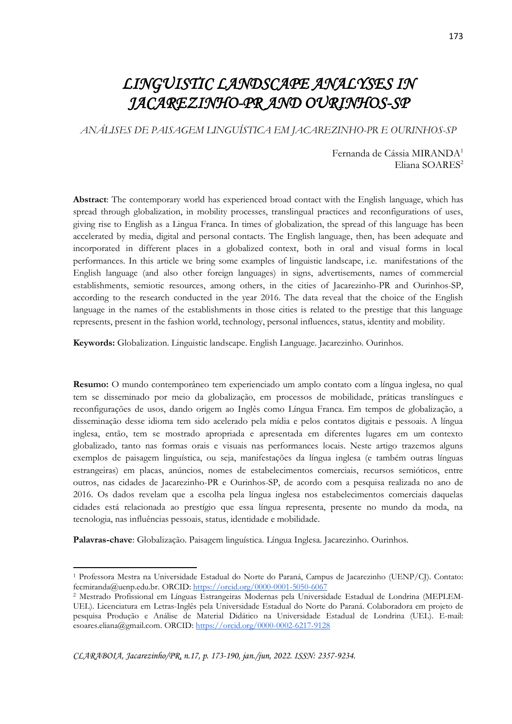# *LINGUISTIC LANDSCAPE ANALYSES IN JACAREZINHO-PR AND OURINHOS-SP*

*ANÁLISES DE PAISAGEM LINGUÍSTICA EM JACAREZINHO-PR E OURINHOS-SP*

Fernanda de Cássia MIRANDA<sup>1</sup> Eliana SOARES<sup>2</sup>

**Abstract**: The contemporary world has experienced broad contact with the English language, which has spread through globalization, in mobility processes, translingual practices and reconfigurations of uses, giving rise to English as a Lingua Franca. In times of globalization, the spread of this language has been accelerated by media, digital and personal contacts. The English language, then, has been adequate and incorporated in different places in a globalized context, both in oral and visual forms in local performances. In this article we bring some examples of linguistic landscape, i.e. manifestations of the English language (and also other foreign languages) in signs, advertisements, names of commercial establishments, semiotic resources, among others, in the cities of Jacarezinho-PR and Ourinhos-SP, according to the research conducted in the year 2016. The data reveal that the choice of the English language in the names of the establishments in those cities is related to the prestige that this language represents, present in the fashion world, technology, personal influences, status, identity and mobility.

**Keywords:** Globalization. Linguistic landscape. English Language. Jacarezinho. Ourinhos.

**Resumo:** O mundo contemporâneo tem experienciado um amplo contato com a língua inglesa, no qual tem se disseminado por meio da globalização, em processos de mobilidade, práticas translíngues e reconfigurações de usos, dando origem ao Inglês como Língua Franca. Em tempos de globalização, a disseminação desse idioma tem sido acelerado pela mídia e pelos contatos digitais e pessoais. A língua inglesa, então, tem se mostrado apropriada e apresentada em diferentes lugares em um contexto globalizado, tanto nas formas orais e visuais nas performances locais. Neste artigo trazemos alguns exemplos de paisagem linguística, ou seja, manifestações da língua inglesa (e também outras línguas estrangeiras) em placas, anúncios, nomes de estabelecimentos comerciais, recursos semióticos, entre outros, nas cidades de Jacarezinho-PR e Ourinhos-SP, de acordo com a pesquisa realizada no ano de 2016. Os dados revelam que a escolha pela língua inglesa nos estabelecimentos comerciais daquelas cidades está relacionada ao prestígio que essa língua representa, presente no mundo da moda, na tecnologia, nas influências pessoais, status, identidade e mobilidade.

**Palavras-chave**: Globalização. Paisagem linguística. Língua Inglesa. Jacarezinho. Ourinhos.

<sup>1</sup> Professora Mestra na Universidade Estadual do Norte do Paraná, Campus de Jacarezinho (UENP/CJ). Contato: fecmiranda@uenp.edu.br. ORCID[: https://orcid.org/0000-0001-5050-6067](https://orcid.org/0000-0001-5050-6067)

<sup>2</sup> Mestrado Profissional em Línguas Estrangeiras Modernas pela Universidade Estadual de Londrina (MEPLEM-UEL). Licenciatura em Letras-Inglês pela Universidade Estadual do Norte do Paraná. Colaboradora em projeto de pesquisa Produção e Análise de Material Didático na Universidade Estadual de Londrina (UEL). E-mail: esoares.eliana@gmail.com. ORCID[: https://orcid.org/0000-0002-6217-9128](https://orcid.org/0000-0002-6217-9128)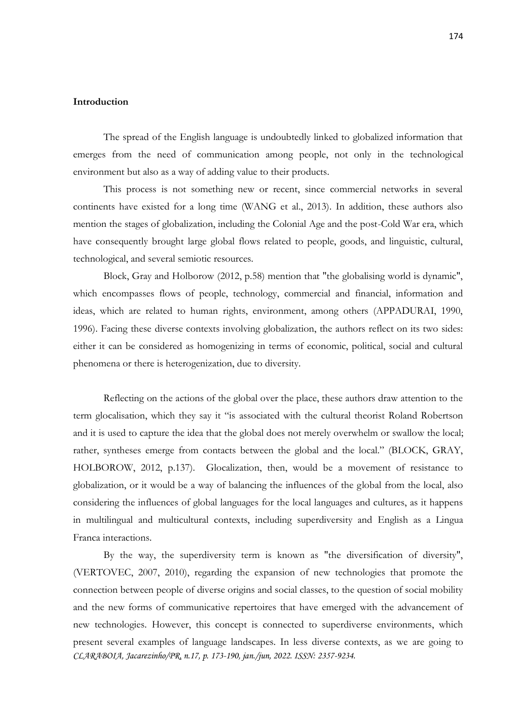#### **Introduction**

The spread of the English language is undoubtedly linked to globalized information that emerges from the need of communication among people, not only in the technological environment but also as a way of adding value to their products.

This process is not something new or recent, since commercial networks in several continents have existed for a long time (WANG et al., 2013). In addition, these authors also mention the stages of globalization, including the Colonial Age and the post-Cold War era, which have consequently brought large global flows related to people, goods, and linguistic, cultural, technological, and several semiotic resources.

Block, Gray and Holborow (2012, p.58) mention that "the globalising world is dynamic", which encompasses flows of people, technology, commercial and financial, information and ideas, which are related to human rights, environment, among others (APPADURAI, 1990, 1996). Facing these diverse contexts involving globalization, the authors reflect on its two sides: either it can be considered as homogenizing in terms of economic, political, social and cultural phenomena or there is heterogenization, due to diversity.

Reflecting on the actions of the global over the place, these authors draw attention to the term glocalisation, which they say it "is associated with the cultural theorist Roland Robertson and it is used to capture the idea that the global does not merely overwhelm or swallow the local; rather, syntheses emerge from contacts between the global and the local." (BLOCK, GRAY, HOLBOROW, 2012, p.137). Glocalization, then, would be a movement of resistance to globalization, or it would be a way of balancing the influences of the global from the local, also considering the influences of global languages for the local languages and cultures, as it happens in multilingual and multicultural contexts, including superdiversity and English as a Lingua Franca interactions.

*CLARABOIA, Jacarezinho/PR, n.17, p. 173-190, jan./jun, 2022. ISSN: 2357-9234.* By the way, the superdiversity term is known as "the diversification of diversity", (VERTOVEC, 2007, 2010), regarding the expansion of new technologies that promote the connection between people of diverse origins and social classes, to the question of social mobility and the new forms of communicative repertoires that have emerged with the advancement of new technologies. However, this concept is connected to superdiverse environments, which present several examples of language landscapes. In less diverse contexts, as we are going to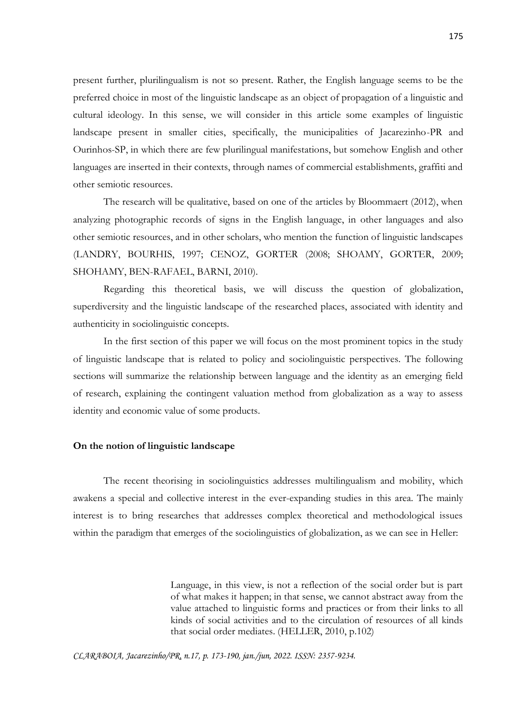present further, plurilingualism is not so present. Rather, the English language seems to be the preferred choice in most of the linguistic landscape as an object of propagation of a linguistic and cultural ideology. In this sense, we will consider in this article some examples of linguistic landscape present in smaller cities, specifically, the municipalities of Jacarezinho-PR and Ourinhos-SP, in which there are few plurilingual manifestations, but somehow English and other languages are inserted in their contexts, through names of commercial establishments, graffiti and other semiotic resources.

The research will be qualitative, based on one of the articles by Bloommaert (2012), when analyzing photographic records of signs in the English language, in other languages and also other semiotic resources, and in other scholars, who mention the function of linguistic landscapes (LANDRY, BOURHIS, 1997; CENOZ, GORTER (2008; SHOAMY, GORTER, 2009; SHOHAMY, BEN-RAFAEL, BARNI, 2010).

Regarding this theoretical basis, we will discuss the question of globalization, superdiversity and the linguistic landscape of the researched places, associated with identity and authenticity in sociolinguistic concepts.

In the first section of this paper we will focus on the most prominent topics in the study of linguistic landscape that is related to policy and sociolinguistic perspectives. The following sections will summarize the relationship between language and the identity as an emerging field of research, explaining the contingent valuation method from globalization as a way to assess identity and economic value of some products.

#### **On the notion of linguistic landscape**

The recent theorising in sociolinguistics addresses multilingualism and mobility, which awakens a special and collective interest in the ever-expanding studies in this area. The mainly interest is to bring researches that addresses complex theoretical and methodological issues within the paradigm that emerges of the sociolinguistics of globalization, as we can see in Heller:

> Language, in this view, is not a reflection of the social order but is part of what makes it happen; in that sense, we cannot abstract away from the value attached to linguistic forms and practices or from their links to all kinds of social activities and to the circulation of resources of all kinds that social order mediates. (HELLER, 2010, p.102)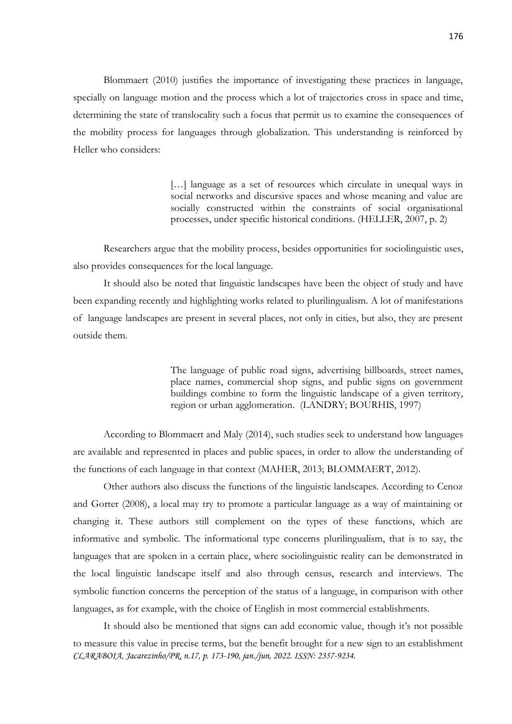Blommaert (2010) justifies the importance of investigating these practices in language, specially on language motion and the process which a lot of trajectories cross in space and time, determining the state of translocality such a focus that permit us to examine the consequences of the mobility process for languages through globalization. This understanding is reinforced by Heller who considers:

> [...] language as a set of resources which circulate in unequal ways in social networks and discursive spaces and whose meaning and value are socially constructed within the constraints of social organisational processes, under specific historical conditions. (HELLER, 2007, p. 2)

Researchers argue that the mobility process, besides opportunities for sociolinguistic uses, also provides consequences for the local language.

It should also be noted that linguistic landscapes have been the object of study and have been expanding recently and highlighting works related to plurilingualism. A lot of manifestations of language landscapes are present in several places, not only in cities, but also, they are present outside them.

> The language of public road signs, advertising billboards, street names, place names, commercial shop signs, and public signs on government buildings combine to form the linguistic landscape of a given territory, region or urban agglomeration. (LANDRY; BOURHIS, 1997)

According to Blommaert and Maly (2014), such studies seek to understand how languages are available and represented in places and public spaces, in order to allow the understanding of the functions of each language in that context (MAHER, 2013; BLOMMAERT, 2012).

Other authors also discuss the functions of the linguistic landscapes. According to Cenoz and Gorter (2008), a local may try to promote a particular language as a way of maintaining or changing it. These authors still complement on the types of these functions, which are informative and symbolic. The informational type concerns plurilingualism, that is to say, the languages that are spoken in a certain place, where sociolinguistic reality can be demonstrated in the local linguistic landscape itself and also through census, research and interviews. The symbolic function concerns the perception of the status of a language, in comparison with other languages, as for example, with the choice of English in most commercial establishments.

*CLARABOIA, Jacarezinho/PR, n.17, p. 173-190, jan./jun, 2022. ISSN: 2357-9234.* It should also be mentioned that signs can add economic value, though it's not possible to measure this value in precise terms, but the benefit brought for a new sign to an establishment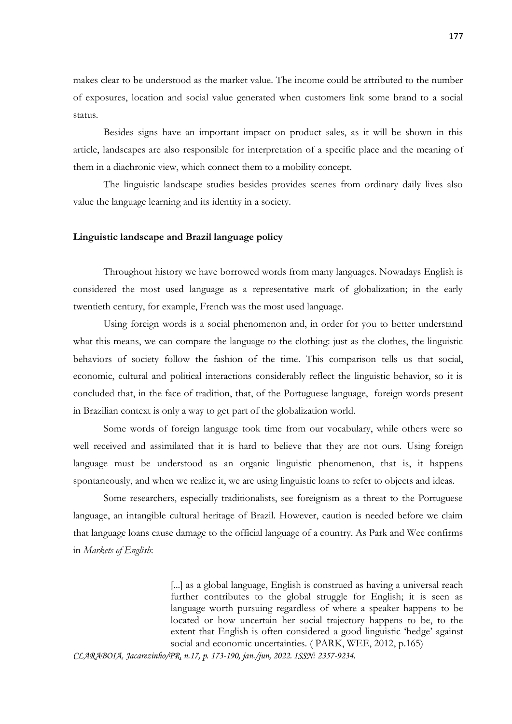makes clear to be understood as the market value. The income could be attributed to the number of exposures, location and social value generated when customers link some brand to a social status.

Besides signs have an important impact on product sales, as it will be shown in this article, landscapes are also responsible for interpretation of a specific place and the meaning of them in a diachronic view, which connect them to a mobility concept.

The linguistic landscape studies besides provides scenes from ordinary daily lives also value the language learning and its identity in a society.

#### **Linguistic landscape and Brazil language policy**

Throughout history we have borrowed words from many languages. Nowadays English is considered the most used language as a representative mark of globalization; in the early twentieth century, for example, French was the most used language.

Using foreign words is a social phenomenon and, in order for you to better understand what this means, we can compare the language to the clothing: just as the clothes, the linguistic behaviors of society follow the fashion of the time. This comparison tells us that social, economic, cultural and political interactions considerably reflect the linguistic behavior, so it is concluded that, in the face of tradition, that, of the Portuguese language, foreign words present in Brazilian context is only a way to get part of the globalization world.

Some words of foreign language took time from our vocabulary, while others were so well received and assimilated that it is hard to believe that they are not ours. Using foreign language must be understood as an organic linguistic phenomenon, that is, it happens spontaneously, and when we realize it, we are using linguistic loans to refer to objects and ideas.

Some researchers, especially traditionalists, see foreignism as a threat to the Portuguese language, an intangible cultural heritage of Brazil. However, caution is needed before we claim that language loans cause damage to the official language of a country. As Park and Wee confirms in *Markets of English*:

> [...] as a global language, English is construed as having a universal reach further contributes to the global struggle for English; it is seen as language worth pursuing regardless of where a speaker happens to be located or how uncertain her social trajectory happens to be, to the extent that English is often considered a good linguistic 'hedge' against social and economic uncertainties. ( PARK, WEE, 2012, p.165)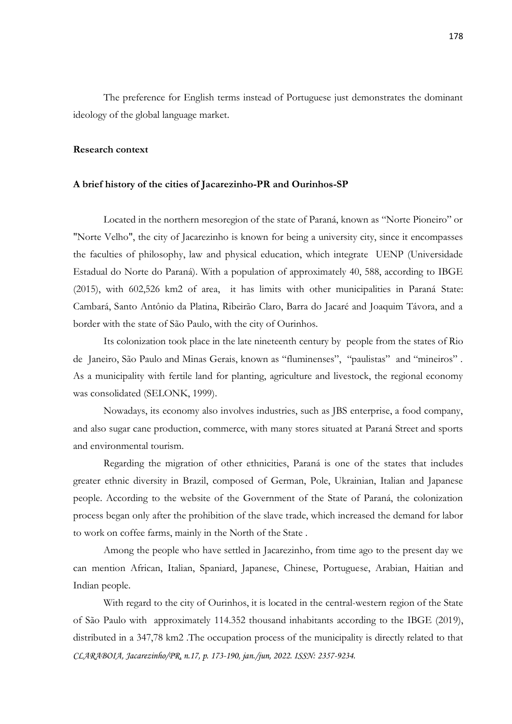The preference for English terms instead of Portuguese just demonstrates the dominant ideology of the global language market.

#### **Research context**

#### **A brief history of the cities of Jacarezinho-PR and Ourinhos-SP**

Located in the northern mesoregion of the state of Paraná, known as "Norte Pioneiro" or "Norte Velho", the city of Jacarezinho is known for being a university city, since it encompasses the faculties of philosophy, law and physical education, which integrate UENP (Universidade Estadual do Norte do Paraná). With a population of approximately 40, 588, according to IBGE (2015), with 602,526 km2 of area, it has limits with other municipalities in Paraná State: Cambará, Santo Antônio da Platina, Ribeirão Claro, Barra do Jacaré and Joaquim Távora, and a border with the state of São Paulo, with the city of Ourinhos.

Its colonization took place in the late nineteenth century by people from the states of Rio de Janeiro, São Paulo and Minas Gerais, known as "fluminenses", "paulistas" and "mineiros" . As a municipality with fertile land for planting, agriculture and livestock, the regional economy was consolidated (SELONK, 1999).

Nowadays, its economy also involves industries, such as JBS enterprise, a food company, and also sugar cane production, commerce, with many stores situated at Paraná Street and sports and environmental tourism.

Regarding the migration of other ethnicities, Paraná is one of the states that includes greater ethnic diversity in Brazil, composed of German, Pole, Ukrainian, Italian and Japanese people. According to the website of the Government of the State of Paraná, the colonization process began only after the prohibition of the slave trade, which increased the demand for labor to work on coffee farms, mainly in the North of the State .

Among the people who have settled in Jacarezinho, from time ago to the present day we can mention African, Italian, Spaniard, Japanese, Chinese, Portuguese, Arabian, Haitian and Indian people.

*CLARABOIA, Jacarezinho/PR, n.17, p. 173-190, jan./jun, 2022. ISSN: 2357-9234.* With regard to the city of Ourinhos, it is located in the central-western region of the State of São Paulo with approximately 114.352 thousand inhabitants according to the IBGE (2019), distributed in a 347,78 km2 .The occupation process of the municipality is directly related to that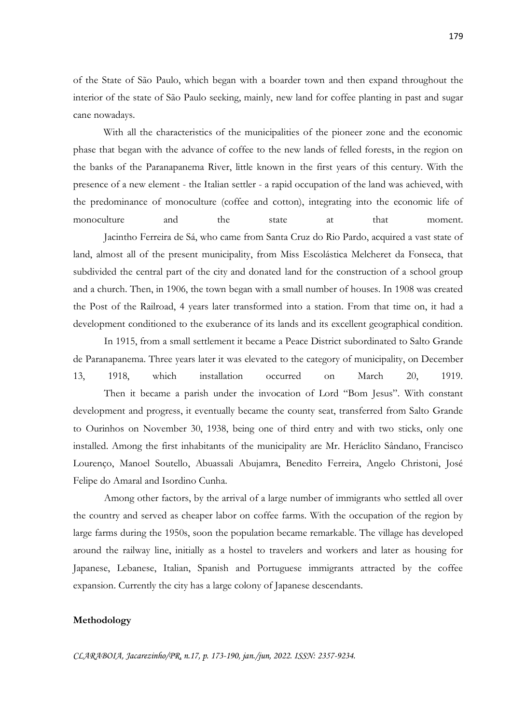of the State of São Paulo, which began with a boarder town and then expand throughout the interior of the state of São Paulo seeking, mainly, new land for coffee planting in past and sugar cane nowadays.

With all the characteristics of the municipalities of the pioneer zone and the economic phase that began with the advance of coffee to the new lands of felled forests, in the region on the banks of the Paranapanema River, little known in the first years of this century. With the presence of a new element - the Italian settler - a rapid occupation of the land was achieved, with the predominance of monoculture (coffee and cotton), integrating into the economic life of monoculture and the state at that moment. Jacintho Ferreira de Sá, who came from Santa Cruz do Rio Pardo, acquired a vast state of land, almost all of the present municipality, from Miss Escolástica Melcheret da Fonseca, that subdivided the central part of the city and donated land for the construction of a school group and a church. Then, in 1906, the town began with a small number of houses. In 1908 was created the Post of the Railroad, 4 years later transformed into a station. From that time on, it had a development conditioned to the exuberance of its lands and its excellent geographical condition.

In 1915, from a small settlement it became a Peace District subordinated to Salto Grande de Paranapanema. Three years later it was elevated to the category of municipality, on December 13, 1918, which installation occurred on March 20, 1919. Then it became a parish under the invocation of Lord "Bom Jesus". With constant development and progress, it eventually became the county seat, transferred from Salto Grande to Ourinhos on November 30, 1938, being one of third entry and with two sticks, only one installed. Among the first inhabitants of the municipality are Mr. Heráclito Sândano, Francisco Lourenço, Manoel Soutello, Abuassali Abujamra, Benedito Ferreira, Angelo Christoni, José Felipe do Amaral and Isordino Cunha.

Among other factors, by the arrival of a large number of immigrants who settled all over the country and served as cheaper labor on coffee farms. With the occupation of the region by large farms during the 1950s, soon the population became remarkable. The village has developed around the railway line, initially as a hostel to travelers and workers and later as housing for Japanese, Lebanese, Italian, Spanish and Portuguese immigrants attracted by the coffee expansion. Currently the city has a large colony of Japanese descendants.

#### **Methodology**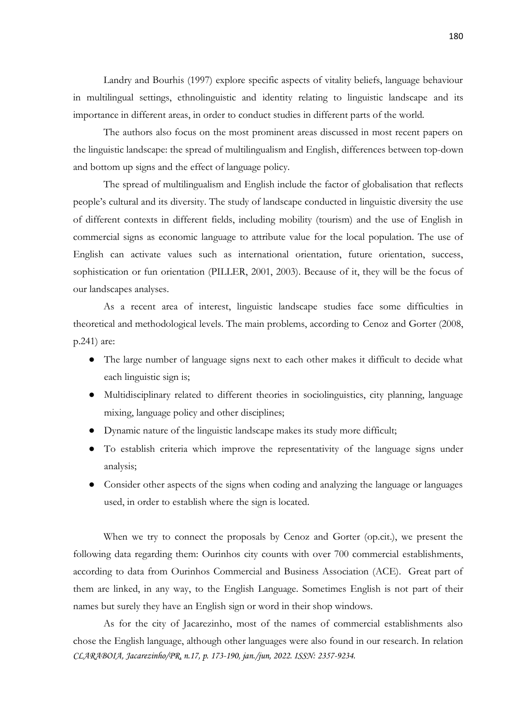Landry and Bourhis (1997) explore specific aspects of vitality beliefs, language behaviour in multilingual settings, ethnolinguistic and identity relating to linguistic landscape and its importance in different areas, in order to conduct studies in different parts of the world.

The authors also focus on the most prominent areas discussed in most recent papers on the linguistic landscape: the spread of multilingualism and English, differences between top-down and bottom up signs and the effect of language policy.

The spread of multilingualism and English include the factor of globalisation that reflects people's cultural and its diversity. The study of landscape conducted in linguistic diversity the use of different contexts in different fields, including mobility (tourism) and the use of English in commercial signs as economic language to attribute value for the local population. The use of English can activate values such as international orientation, future orientation, success, sophistication or fun orientation (PILLER, 2001, 2003). Because of it, they will be the focus of our landscapes analyses.

As a recent area of interest, linguistic landscape studies face some difficulties in theoretical and methodological levels. The main problems, according to Cenoz and Gorter (2008, p.241) are:

- The large number of language signs next to each other makes it difficult to decide what each linguistic sign is;
- Multidisciplinary related to different theories in sociolinguistics, city planning, language mixing, language policy and other disciplines;
- Dynamic nature of the linguistic landscape makes its study more difficult;
- To establish criteria which improve the representativity of the language signs under analysis;
- Consider other aspects of the signs when coding and analyzing the language or languages used, in order to establish where the sign is located.

When we try to connect the proposals by Cenoz and Gorter (op.cit.), we present the following data regarding them: Ourinhos city counts with over 700 commercial establishments, according to data from Ourinhos Commercial and Business Association (ACE). Great part of them are linked, in any way, to the English Language. Sometimes English is not part of their names but surely they have an English sign or word in their shop windows.

*CLARABOIA, Jacarezinho/PR, n.17, p. 173-190, jan./jun, 2022. ISSN: 2357-9234.* As for the city of Jacarezinho, most of the names of commercial establishments also chose the English language, although other languages were also found in our research. In relation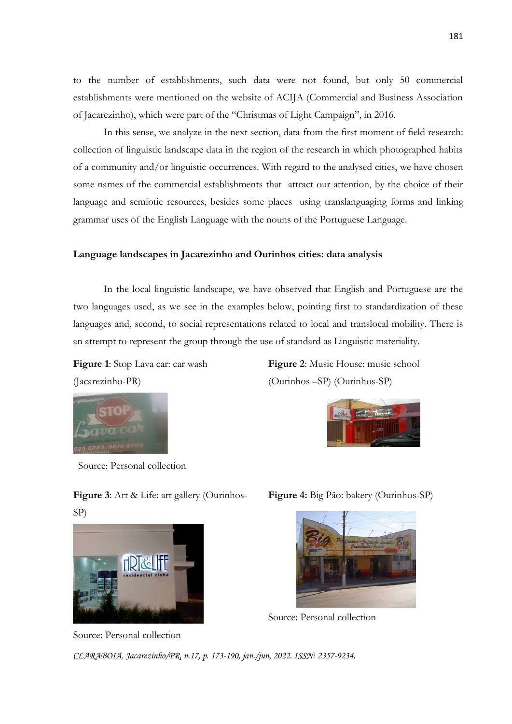to the number of establishments, such data were not found, but only 50 commercial establishments were mentioned on the website of ACIJA (Commercial and Business Association of Jacarezinho), which were part of the "Christmas of Light Campaign", in 2016.

In this sense, we analyze in the next section, data from the first moment of field research: collection of linguistic landscape data in the region of the research in which photographed habits of a community and/or linguistic occurrences. With regard to the analysed cities, we have chosen some names of the commercial establishments that attract our attention, by the choice of their language and semiotic resources, besides some places using translanguaging forms and linking grammar uses of the English Language with the nouns of the Portuguese Language.

#### **Language landscapes in Jacarezinho and Ourinhos cities: data analysis**

In the local linguistic landscape, we have observed that English and Portuguese are the two languages used, as we see in the examples below, pointing first to standardization of these languages and, second, to social representations related to local and translocal mobility. There is an attempt to represent the group through the use of standard as Linguistic materiality.

**Figure 1**: Stop Lava car: car wash (Jacarezinho-PR)



SP)

Source: Personal collection

**Figure 3**: Art & Life: art gallery (Ourinhos-

**Figure 2**: Music House: music school (Ourinhos –SP) (Ourinhos-SP)



Source: Personal collection

**Figure 4:** Big Pão: bakery (Ourinhos-SP)



Source: Personal collection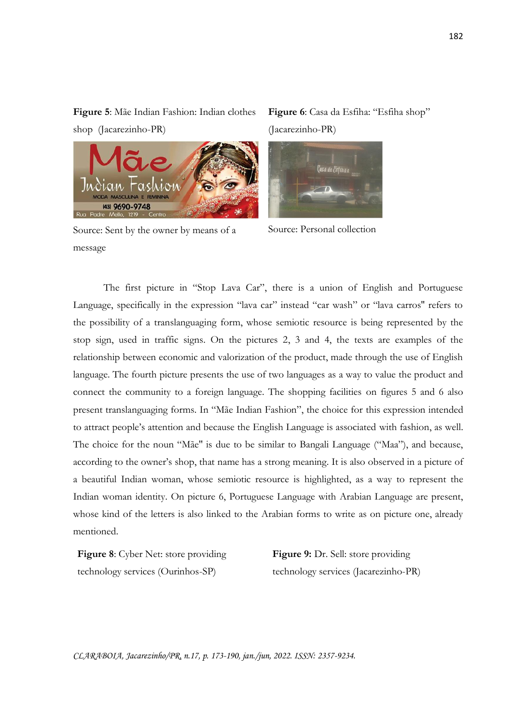**Figure 5**: Mãe Indian Fashion: Indian clothes shop (Jacarezinho-PR)

Source: Sent by the owner by means of a message

(43) 9690-9748

**Figure 6**: Casa da Esfiha: "Esfiha shop" (Jacarezinho-PR)

Source: Personal collection

The first picture in "Stop Lava Car", there is a union of English and Portuguese Language, specifically in the expression "lava car" instead "car wash" or "lava carros" refers to the possibility of a translanguaging form, whose semiotic resource is being represented by the stop sign, used in traffic signs. On the pictures 2, 3 and 4, the texts are examples of the relationship between economic and valorization of the product, made through the use of English language. The fourth picture presents the use of two languages as a way to value the product and connect the community to a foreign language. The shopping facilities on figures 5 and 6 also present translanguaging forms. In "Mãe Indian Fashion", the choice for this expression intended to attract people's attention and because the English Language is associated with fashion, as well. The choice for the noun "Mãe'' is due to be similar to Bangali Language ("Maa"), and because, according to the owner's shop, that name has a strong meaning. It is also observed in a picture of a beautiful Indian woman, whose semiotic resource is highlighted, as a way to represent the Indian woman identity. On picture 6, Portuguese Language with Arabian Language are present, whose kind of the letters is also linked to the Arabian forms to write as on picture one, already mentioned.

**Figure 8**: Cyber Net: store providing technology services (Ourinhos-SP)

**Figure 9:** Dr. Sell: store providing technology services (Jacarezinho-PR)

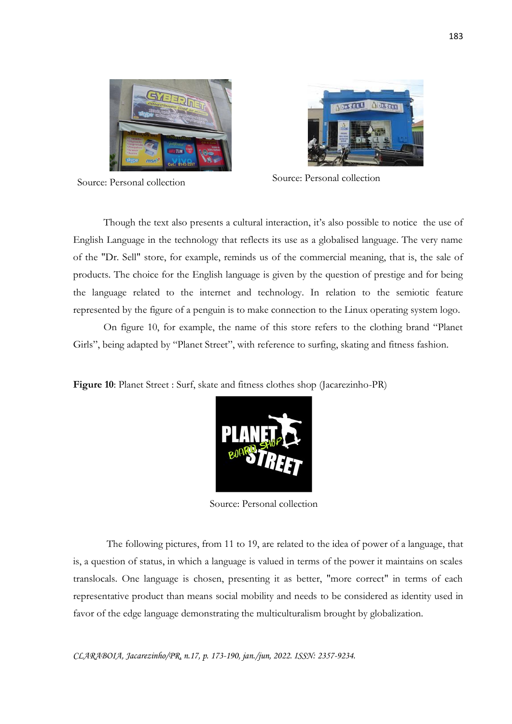



Source: Personal collection Source: Personal collection

Though the text also presents a cultural interaction, it's also possible to notice the use of English Language in the technology that reflects its use as a globalised language. The very name of the "Dr. Sell" store, for example, reminds us of the commercial meaning, that is, the sale of products. The choice for the English language is given by the question of prestige and for being the language related to the internet and technology. In relation to the semiotic feature represented by the figure of a penguin is to make connection to the Linux operating system logo.

On figure 10, for example, the name of this store refers to the clothing brand "Planet Girls", being adapted by "Planet Street", with reference to surfing, skating and fitness fashion.

**Figure 10**: Planet Street : Surf, skate and fitness clothes shop (Jacarezinho-PR)



Source: Personal collection

The following pictures, from 11 to 19, are related to the idea of power of a language, that is, a question of status, in which a language is valued in terms of the power it maintains on scales translocals. One language is chosen, presenting it as better, "more correct" in terms of each representative product than means social mobility and needs to be considered as identity used in favor of the edge language demonstrating the multiculturalism brought by globalization.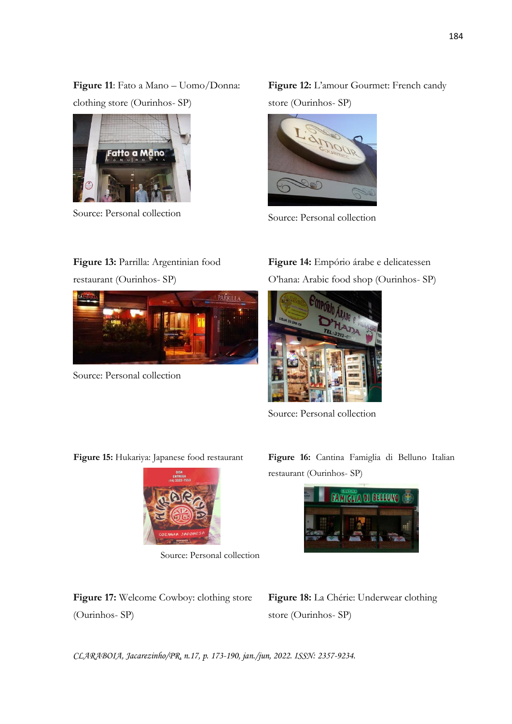**Figure 11**: Fato a Mano – Uomo/Donna: clothing store (Ourinhos- SP)



Source: Personal collection

**Figure 12:** L'amour Gourmet: French candy store (Ourinhos- SP)



Source: Personal collection

### **Figure 13:** Parrilla: Argentinian food

restaurant (Ourinhos- SP)



Source: Personal collection

**Figure 14:** Empório árabe e delicatessen O'hana: Arabic food shop (Ourinhos- SP)



Source: Personal collection

**Figure 15:** Hukariya: Japanese food restaurant



Source: Personal collection

**Figure 17:** Welcome Cowboy: clothing store (Ourinhos- SP)

**Figure 16:** Cantina Famiglia di Belluno Italian restaurant (Ourinhos- SP)



**Figure 18:** La Chérie: Underwear clothing store (Ourinhos- SP)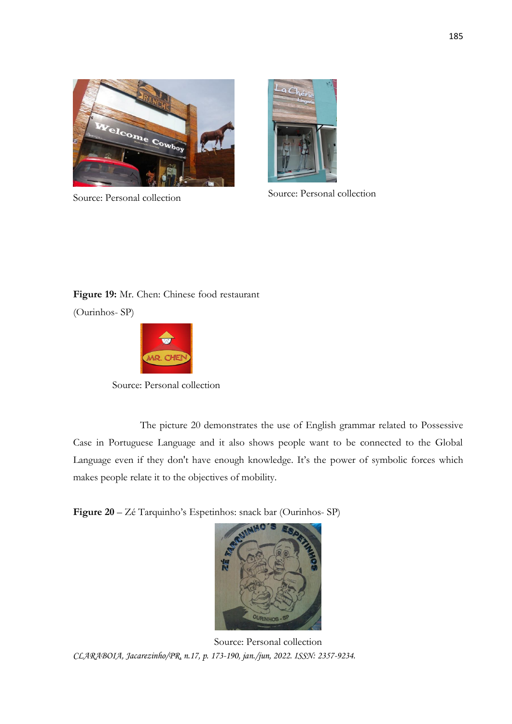



Source: Personal collection Source: Personal collection

## **Figure 19:** Mr. Chen: Chinese food restaurant (Ourinhos- SP)



Source: Personal collection

 The picture 20 demonstrates the use of English grammar related to Possessive Case in Portuguese Language and it also shows people want to be connected to the Global Language even if they don't have enough knowledge. It's the power of symbolic forces which makes people relate it to the objectives of mobility.

**Figure 20** – Zé Tarquinho's Espetinhos: snack bar (Ourinhos- SP)



*CLARABOIA, Jacarezinho/PR, n.17, p. 173-190, jan./jun, 2022. ISSN: 2357-9234.* Source: Personal collection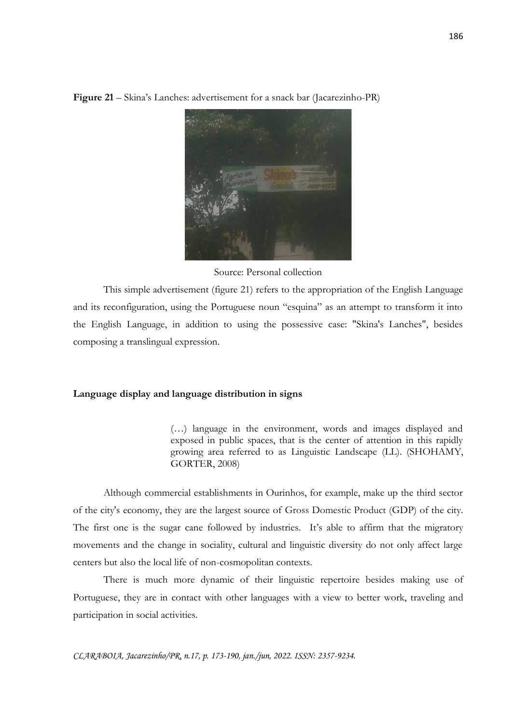**Figure 21** – Skina's Lanches: advertisement for a snack bar (Jacarezinho-PR)

Source: Personal collection

This simple advertisement (figure 21) refers to the appropriation of the English Language and its reconfiguration, using the Portuguese noun "esquina" as an attempt to transform it into the English Language, in addition to using the possessive case: "Skina's Lanches", besides composing a translingual expression.

#### **Language display and language distribution in signs**

(…) language in the environment, words and images displayed and exposed in public spaces, that is the center of attention in this rapidly growing area referred to as Linguistic Landscape (LL). (SHOHAMY, GORTER, 2008)

Although commercial establishments in Ourinhos, for example, make up the third sector of the city's economy, they are the largest source of Gross Domestic Product (GDP) of the city. The first one is the sugar cane followed by industries. It's able to affirm that the migratory movements and the change in sociality, cultural and linguistic diversity do not only affect large centers but also the local life of non-cosmopolitan contexts.

There is much more dynamic of their linguistic repertoire besides making use of Portuguese, they are in contact with other languages with a view to better work, traveling and participation in social activities.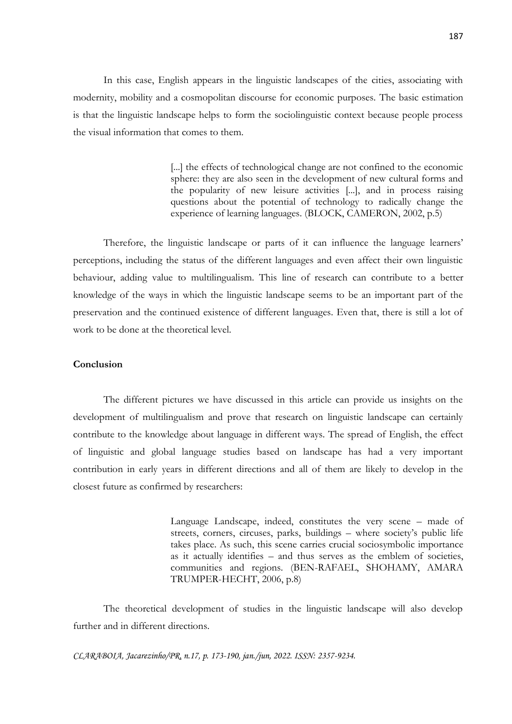In this case, English appears in the linguistic landscapes of the cities, associating with modernity, mobility and a cosmopolitan discourse for economic purposes. The basic estimation is that the linguistic landscape helps to form the sociolinguistic context because people process the visual information that comes to them.

> [...] the effects of technological change are not confined to the economic sphere: they are also seen in the development of new cultural forms and the popularity of new leisure activities [...], and in process raising questions about the potential of technology to radically change the experience of learning languages. (BLOCK, CAMERON, 2002, p.5)

Therefore, the linguistic landscape or parts of it can influence the language learners' perceptions, including the status of the different languages and even affect their own linguistic behaviour, adding value to multilingualism. This line of research can contribute to a better knowledge of the ways in which the linguistic landscape seems to be an important part of the preservation and the continued existence of different languages. Even that, there is still a lot of work to be done at the theoretical level.

#### **Conclusion**

The different pictures we have discussed in this article can provide us insights on the development of multilingualism and prove that research on linguistic landscape can certainly contribute to the knowledge about language in different ways. The spread of English, the effect of linguistic and global language studies based on landscape has had a very important contribution in early years in different directions and all of them are likely to develop in the closest future as confirmed by researchers:

> Language Landscape, indeed, constitutes the very scene – made of streets, corners, circuses, parks, buildings – where society's public life takes place. As such, this scene carries crucial sociosymbolic importance as it actually identifies – and thus serves as the emblem of societies, communities and regions. (BEN-RAFAEL, SHOHAMY, AMARA TRUMPER-HECHT, 2006, p.8)

The theoretical development of studies in the linguistic landscape will also develop further and in different directions.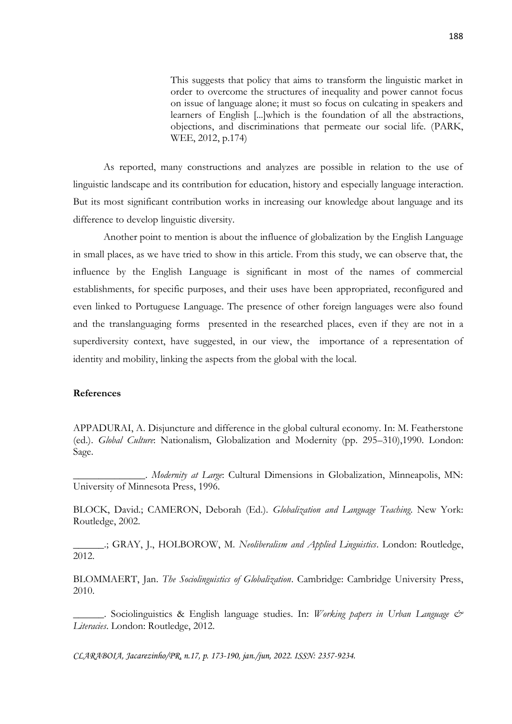This suggests that policy that aims to transform the linguistic market in order to overcome the structures of inequality and power cannot focus on issue of language alone; it must so focus on culcating in speakers and learners of English [...]which is the foundation of all the abstractions, objections, and discriminations that permeate our social life. (PARK, WEE, 2012, p.174)

As reported, many constructions and analyzes are possible in relation to the use of linguistic landscape and its contribution for education, history and especially language interaction. But its most significant contribution works in increasing our knowledge about language and its difference to develop linguistic diversity.

Another point to mention is about the influence of globalization by the English Language in small places, as we have tried to show in this article. From this study, we can observe that, the influence by the English Language is significant in most of the names of commercial establishments, for specific purposes, and their uses have been appropriated, reconfigured and even linked to Portuguese Language. The presence of other foreign languages were also found and the translanguaging forms presented in the researched places, even if they are not in a superdiversity context, have suggested, in our view, the importance of a representation of identity and mobility, linking the aspects from the global with the local.

#### **References**

APPADURAI, A. Disjuncture and difference in the global cultural economy. In: M. Featherstone (ed.). *Global Culture*: Nationalism, Globalization and Modernity (pp. 295–310),1990. London: Sage.

\_\_\_\_\_\_\_\_\_\_\_\_\_\_. *Modernity at Large*: Cultural Dimensions in Globalization, Minneapolis, MN: University of Minnesota Press, 1996.

BLOCK, David.; CAMERON, Deborah (Ed.). *Globalization and Language Teaching*. New York: Routledge, 2002.

\_\_\_\_\_\_.; GRAY, J., HOLBOROW, M. *Neoliberalism and Applied Linguistics*. London: Routledge, 2012.

BLOMMAERT, Jan. *The Sociolinguistics of Globalization*. Cambridge: Cambridge University Press, 2010.

\_\_\_\_\_\_. Sociolinguistics & English language studies. In: *Working papers in Urban Language & Literacies*. London: Routledge, 2012.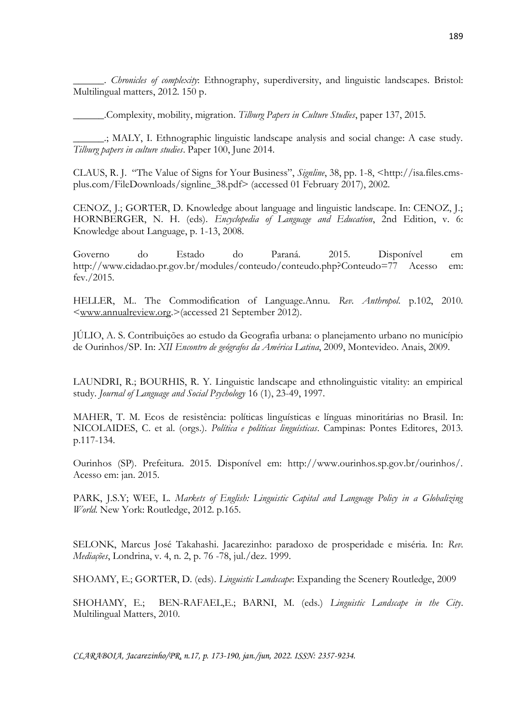\_\_\_\_\_\_. *Chronicles of complexity*: Ethnography, superdiversity, and linguistic landscapes. Bristol: Multilingual matters, 2012. 150 p.

\_\_\_\_\_\_.Complexity, mobility, migration. *Tilburg Papers in Culture Studies*, paper 137, 2015.

\_\_\_\_\_\_.; MALY, I. Ethnographic linguistic landscape analysis and social change: A case study. *Tilburg papers in culture studies*. Paper 100, June 2014.

CLAUS, R. J. "The Value of Signs for Your Business", *Signline*, 38, pp. 1-8, <http://isa.files.cmsplus.com/FileDownloads/signline\_38.pdf> (accessed 01 February 2017), 2002.

CENOZ, J.; GORTER, D. Knowledge about language and linguistic landscape. In: CENOZ, J.; HORNBERGER, N. H. (eds). *Encyclopedia of Language and Education*, 2nd Edition, v. 6: Knowledge about Language, p. 1-13, 2008.

Governo do Estado do Paraná. 2015. Disponível em [http://www.cidadao.pr.gov.br/modules/conteudo/conteudo.php?Conteudo=77](http://www.cidadao.pr.gov.br/modules/conteudo/conteudo.php?conteudo=77) Acesso em: fev./2015.

HELLER, M.. The Commodification of Language.Annu. *Rev. Anthropol*. p.102, 2010. [<www.annualreview.org.](http://www.annualreview.org/)>(accessed 21 September 2012).

JÚLIO, A. S. Contribuições ao estudo da Geografia urbana: o planejamento urbano no município de Ourinhos/SP. In: *XII Encontro de geógrafos da América Latina*, 2009, Montevideo. Anais, 2009.

LAUNDRI, R.; BOURHIS, R. Y. Linguistic landscape and ethnolinguistic vitality: an empirical study. *Journal of Language and Social Psychology* 16 (1), 23-49, 1997.

MAHER, T. M. Ecos de resistência: políticas linguísticas e línguas minoritárias no Brasil. In: NICOLAIDES, C. et al. (orgs.). *Política e políticas linguísticas*. Campinas: Pontes Editores, 2013. p.117-134.

Ourinhos (SP). Prefeitura. 2015. Disponível em: http://www.ourinhos.sp.gov.br/ourinhos/. Acesso em: jan. 2015.

PARK, J.S.Y; WEE, L. *Markets of English: Linguistic Capital and Language Policy in a Globalizing World*. New York: Routledge, 2012. p.165.

SELONK, Marcus José Takahashi. Jacarezinho: paradoxo de prosperidade e miséria. In: *Rev. Mediações*, Londrina, v. 4, n. 2, p. 76 -78, jul./dez. 1999.

SHOAMY, E.; GORTER, D. (eds). *Linguistic Landscape*: Expanding the Scenery Routledge, 2009

SHOHAMY, E.; BEN-RAFAEL,E.; BARNI, M. (eds.) *Linguistic Landscape in the City*. Multilingual Matters, 2010.